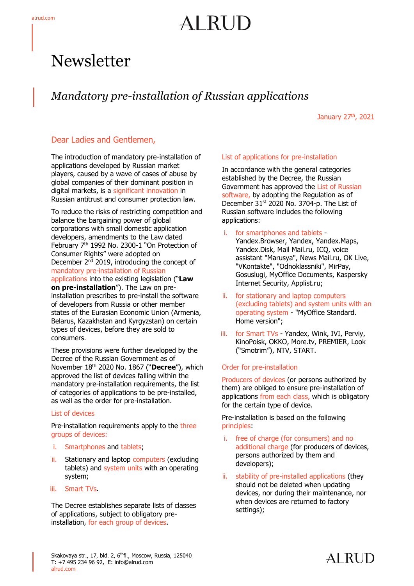# AI RUD

## **Newsletter**

### *Mandatory pre-installation of Russian applications*

January 27<sup>th</sup>, 2021

#### Dear Ladies and Gentlemen,

The introduction of mandatory pre-installation of applications developed by Russian market players, caused by a wave of cases of abuse by global companies of their dominant position in digital markets, is a significant innovation in Russian antitrust and consumer protection law.

To reduce the risks of restricting competition and balance the bargaining power of global corporations with small domestic application developers, amendments to the Law dated February 7<sup>th</sup> 1992 No. 2300-1 "On Protection of Consumer Rights" were adopted on December 2<sup>nd</sup> 2019, introducing the concept of mandatory pre-installation of Russian applications into the existing legislation ("**Law on pre-installation**"). The Law on preinstallation prescribes to pre-install the software of developers from Russia or other member states of the Eurasian Economic Union (Armenia, Belarus, Kazakhstan and Kyrgyzstan) on certain types of devices, before they are sold to consumers.

These provisions were further developed by the Decree of the Russian Government as of November 18th 2020 No. 1867 ("**Decree**"), which approved the list of devices falling within the mandatory pre-installation requirements, the list of categories of applications to be pre-installed, as well as the order for pre-installation.

#### List of devices

Pre-installation requirements apply to the three groups of devices:

- i. Smartphones and tablets;
- ii. Stationary and laptop computers (excluding tablets) and system units with an operating system;
- iii. Smart TVs.

The Decree establishes separate lists of classes of applications, subject to obligatory preinstallation, for each group of devices.

#### List of applications for pre-installation

In accordance with the general categories established by the Decree, the Russian Government has approved the List of Russian software, by adopting the Regulation as of December 31<sup>st</sup> 2020 No. 3704-p. The List of Russian software includes the following applications:

- i. for smartphones and tablets Yandex.Browser, Yandex, Yandex.Maps, Yandex.Disk, Mail Mail.ru, ICQ, voice assistant "Marusya", News Mail.ru, OK Live, "VKontakte", "Odnoklassniki", MirPay, Gosuslugi, MyOffice Documents, Kaspersky Internet Security, Applist.ru;
- ii. for stationary and laptop computers (excluding tablets) and system units with an operating system - "MyOffice Standard. Home version";
- iii. for Smart TVs Yandex, Wink, IVI, Perviy, KinoPoisk, OKKO, More.tv, PREMIER, Look ("Smotrim"), NTV, START.

#### Order for pre-installation

Producers of devices (or persons authorized by them) are obliged to ensure pre-installation of applications from each class, which is obligatory for the certain type of device.

Pre-installation is based on the following principles:

- i. free of charge (for consumers) and no additional charge (for producers of devices, persons authorized by them and developers);
- ii. stability of pre-installed applications (they should not be deleted when updating devices, nor during their maintenance, nor when devices are returned to factory settings);